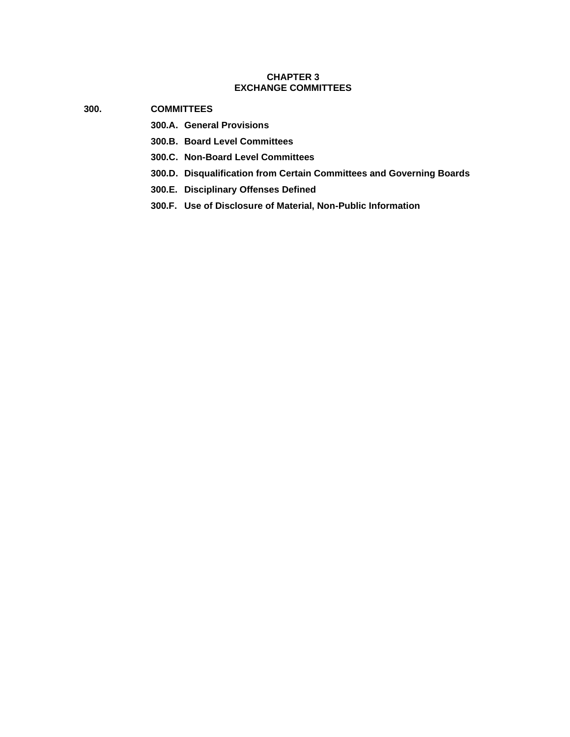## **CHAPTER 3 EXCHANGE COMMITTEES**

- **300. COMMITTEES**
	- **300.A. General Provisions**
	- **300.B. Board Level Committees**
	- **300.C. Non-Board Level Committees**
	- **300.D. Disqualification from Certain Committees and Governing Boards**
	- **300.E. Disciplinary Offenses Defined**
	- **300.F. Use of Disclosure of Material, Non-Public Information**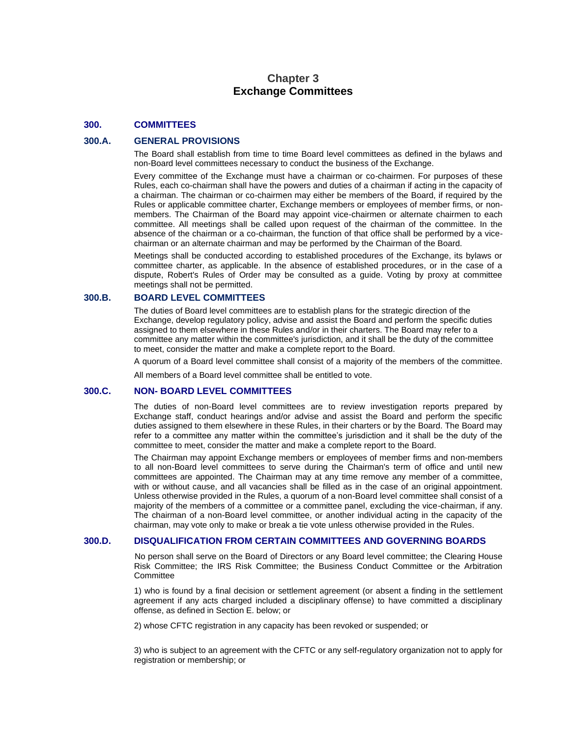# **Chapter 3 Exchange Committees**

#### **300. COMMITTEES**

#### **300.A. GENERAL PROVISIONS**

The Board shall establish from time to time Board level committees as defined in the bylaws and non-Board level committees necessary to conduct the business of the Exchange.

Every committee of the Exchange must have a chairman or co-chairmen. For purposes of these Rules, each co-chairman shall have the powers and duties of a chairman if acting in the capacity of a chairman. The chairman or co-chairmen may either be members of the Board, if required by the Rules or applicable committee charter, Exchange members or employees of member firms, or nonmembers. The Chairman of the Board may appoint vice-chairmen or alternate chairmen to each committee. All meetings shall be called upon request of the chairman of the committee. In the absence of the chairman or a co-chairman, the function of that office shall be performed by a vicechairman or an alternate chairman and may be performed by the Chairman of the Board.

Meetings shall be conducted according to established procedures of the Exchange, its bylaws or committee charter, as applicable. In the absence of established procedures, or in the case of a dispute, Robert's Rules of Order may be consulted as a guide. Voting by proxy at committee meetings shall not be permitted.

#### **300.B. BOARD LEVEL COMMITTEES**

The duties of Board level committees are to establish plans for the strategic direction of the Exchange, develop regulatory policy, advise and assist the Board and perform the specific duties assigned to them elsewhere in these Rules and/or in their charters. The Board may refer to a committee any matter within the committee's jurisdiction, and it shall be the duty of the committee to meet, consider the matter and make a complete report to the Board.

A quorum of a Board level committee shall consist of a majority of the members of the committee.

All members of a Board level committee shall be entitled to vote.

#### **300.C. NON- BOARD LEVEL COMMITTEES**

The duties of non-Board level committees are to review investigation reports prepared by Exchange staff, conduct hearings and/or advise and assist the Board and perform the specific duties assigned to them elsewhere in these Rules, in their charters or by the Board. The Board may refer to a committee any matter within the committee's jurisdiction and it shall be the duty of the committee to meet, consider the matter and make a complete report to the Board.

The Chairman may appoint Exchange members or employees of member firms and non-members to all non-Board level committees to serve during the Chairman's term of office and until new committees are appointed. The Chairman may at any time remove any member of a committee, with or without cause, and all vacancies shall be filled as in the case of an original appointment. Unless otherwise provided in the Rules, a quorum of a non-Board level committee shall consist of a majority of the members of a committee or a committee panel, excluding the vice-chairman, if any. The chairman of a non-Board level committee, or another individual acting in the capacity of the chairman, may vote only to make or break a tie vote unless otherwise provided in the Rules.

#### **300.D. DISQUALIFICATION FROM CERTAIN COMMITTEES AND GOVERNING BOARDS**

No person shall serve on the Board of Directors or any Board level committee; the Clearing House Risk Committee; the IRS Risk Committee; the Business Conduct Committee or the Arbitration **Committee** 

1) who is found by a final decision or settlement agreement (or absent a finding in the settlement agreement if any acts charged included a disciplinary offense) to have committed a disciplinary offense, as defined in Section E. below; or

2) whose CFTC registration in any capacity has been revoked or suspended; or

3) who is subject to an agreement with the CFTC or any self-regulatory organization not to apply for registration or membership; or